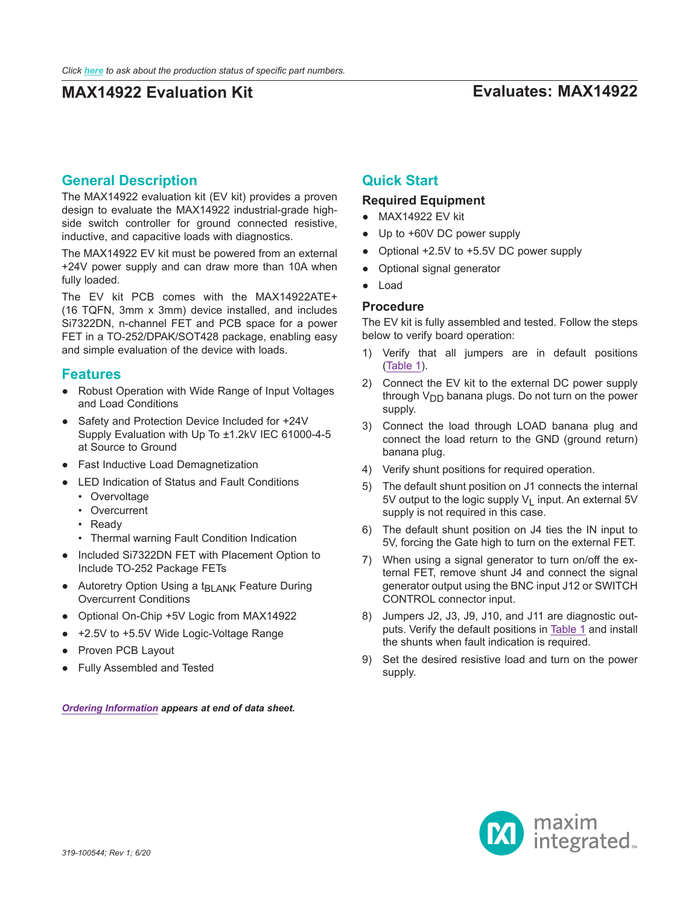## **MAX14922 Evaluation Kit Evaluates: MAX14922**

### **General Description**

The MAX14922 evaluation kit (EV kit) provides a proven design to evaluate the MAX14922 industrial-grade highside switch controller for ground connected resistive, inductive, and capacitive loads with diagnostics.

The MAX14922 EV kit must be powered from an external +24V power supply and can draw more than 10A when fully loaded.

The EV kit PCB comes with the MAX14922ATE+ (16 TQFN, 3mm x 3mm) device installed, and includes Si7322DN, n-channel FET and PCB space for a power FET in a TO-252/DPAK/SOT428 package, enabling easy and simple evaluation of the device with loads.

#### **Features**

- Robust Operation with Wide Range of Input Voltages and Load Conditions
- Safety and Protection Device Included for +24V Supply Evaluation with Up To ±1.2kV IEC 61000-4-5 at Source to Ground
- Fast Inductive Load Demagnetization
- LED Indication of Status and Fault Conditions
	- Overvoltage
	- Overcurrent
	- Ready
	- Thermal warning Fault Condition Indication
- Included Si7322DN FET with Placement Option to Include TO-252 Package FETs
- Autoretry Option Using a t<sub>BLANK</sub> Feature During Overcurrent Conditions
- Optional On-Chip +5V Logic from MAX14922
- +2.5V to +5.5V Wide Logic-Voltage Range
- Proven PCB Layout
- Fully Assembled and Tested

*[Ordering Information](#page-3-0) appears at end of data sheet.*

### **Quick Start**

#### **Required Equipment**

- MAX14922 EV kit
- Up to +60V DC power supply
- Optional +2.5V to +5.5V DC power supply
- Optional signal generator
- Load

#### **Procedure**

The EV kit is fully assembled and tested. Follow the steps below to verify board operation:

- 1) Verify that all jumpers are in default positions ([Table 1\)](#page-1-0).
- 2) Connect the EV kit to the external DC power supply through  $V_{DD}$  banana plugs. Do not turn on the power supply.
- 3) Connect the load through LOAD banana plug and connect the load return to the GND (ground return) banana plug.
- 4) Verify shunt positions for required operation.
- 5) The default shunt position on J1 connects the internal 5V output to the logic supply  $V_1$  input. An external 5V supply is not required in this case.
- 6) The default shunt position on J4 ties the IN input to 5V, forcing the Gate high to turn on the external FET.
- 7) When using a signal generator to turn on/off the external FET, remove shunt J4 and connect the signal generator output using the BNC input J12 or SWITCH CONTROL connector input.
- 8) Jumpers J2, J3, J9, J10, and J11 are diagnostic outputs. Verify the default positions in [Table 1](#page-1-0) and install the shunts when fault indication is required.
- 9) Set the desired resistive load and turn on the power supply.

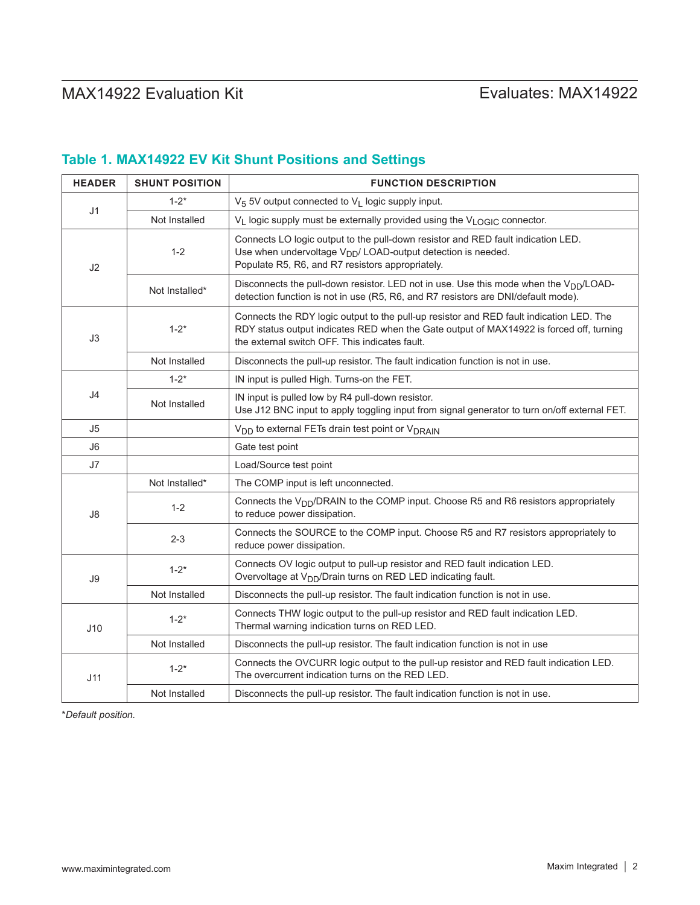# MAX14922 Evaluation Kit
Here and Contact Contact Evaluates: MAX14922

## <span id="page-1-0"></span>**Table 1. MAX14922 EV Kit Shunt Positions and Settings**

| <b>HEADER</b>  | <b>SHUNT POSITION</b> | <b>FUNCTION DESCRIPTION</b>                                                                                                                                                                                                          |  |  |  |  |
|----------------|-----------------------|--------------------------------------------------------------------------------------------------------------------------------------------------------------------------------------------------------------------------------------|--|--|--|--|
|                | $1 - 2^*$             | V <sub>5</sub> 5V output connected to V <sub>L</sub> logic supply input.                                                                                                                                                             |  |  |  |  |
| J <sub>1</sub> | Not Installed         | $V_L$ logic supply must be externally provided using the $V_{LOGIC}$ connector.                                                                                                                                                      |  |  |  |  |
| J2             | $1 - 2$               | Connects LO logic output to the pull-down resistor and RED fault indication LED.<br>Use when undervoltage V <sub>DD</sub> /LOAD-output detection is needed.<br>Populate R5, R6, and R7 resistors appropriately.                      |  |  |  |  |
|                | Not Installed*        | Disconnects the pull-down resistor. LED not in use. Use this mode when the V <sub>DD</sub> /LOAD-<br>detection function is not in use (R5, R6, and R7 resistors are DNI/default mode).                                               |  |  |  |  |
| J3             | $1 - 2^*$             | Connects the RDY logic output to the pull-up resistor and RED fault indication LED. The<br>RDY status output indicates RED when the Gate output of MAX14922 is forced off, turning<br>the external switch OFF. This indicates fault. |  |  |  |  |
|                | Not Installed         | Disconnects the pull-up resistor. The fault indication function is not in use.                                                                                                                                                       |  |  |  |  |
| J4             | $1 - 2^*$             | IN input is pulled High. Turns-on the FET.                                                                                                                                                                                           |  |  |  |  |
|                | Not Installed         | IN input is pulled low by R4 pull-down resistor.<br>Use J12 BNC input to apply toggling input from signal generator to turn on/off external FET.                                                                                     |  |  |  |  |
| J5             |                       | V <sub>DD</sub> to external FETs drain test point or V <sub>DRAIN</sub>                                                                                                                                                              |  |  |  |  |
| J6             |                       | Gate test point                                                                                                                                                                                                                      |  |  |  |  |
| J7             |                       | Load/Source test point                                                                                                                                                                                                               |  |  |  |  |
|                | Not Installed*        | The COMP input is left unconnected.                                                                                                                                                                                                  |  |  |  |  |
| J8             | $1 - 2$               | Connects the V <sub>DD</sub> /DRAIN to the COMP input. Choose R5 and R6 resistors appropriately<br>to reduce power dissipation.                                                                                                      |  |  |  |  |
|                | $2 - 3$               | Connects the SOURCE to the COMP input. Choose R5 and R7 resistors appropriately to<br>reduce power dissipation.                                                                                                                      |  |  |  |  |
| J9<br>J10      | $1 - 2^*$             | Connects OV logic output to pull-up resistor and RED fault indication LED.<br>Overvoltage at V <sub>DD</sub> /Drain turns on RED LED indicating fault.                                                                               |  |  |  |  |
|                | Not Installed         | Disconnects the pull-up resistor. The fault indication function is not in use.                                                                                                                                                       |  |  |  |  |
|                | $1 - 2^*$             | Connects THW logic output to the pull-up resistor and RED fault indication LED.<br>Thermal warning indication turns on RED LED.                                                                                                      |  |  |  |  |
|                | Not Installed         | Disconnects the pull-up resistor. The fault indication function is not in use                                                                                                                                                        |  |  |  |  |
| J11            | $1 - 2^*$             | Connects the OVCURR logic output to the pull-up resistor and RED fault indication LED.<br>The overcurrent indication turns on the RED LED.                                                                                           |  |  |  |  |
|                | Not Installed         | Disconnects the pull-up resistor. The fault indication function is not in use.                                                                                                                                                       |  |  |  |  |

\**Default position.*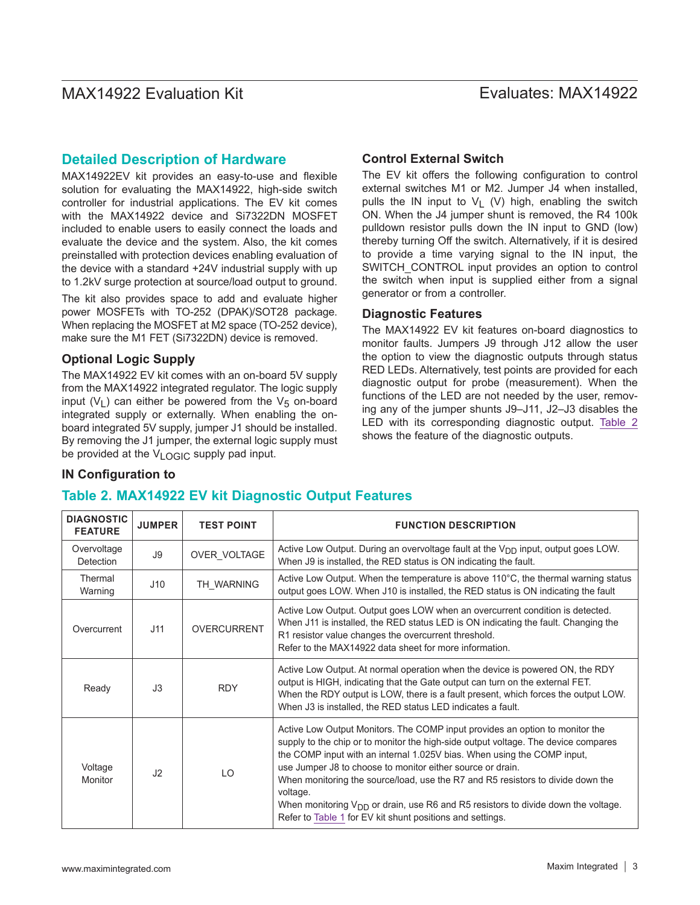### **Detailed Description of Hardware**

MAX14922EV kit provides an easy-to-use and flexible solution for evaluating the MAX14922, high-side switch controller for industrial applications. The EV kit comes with the MAX14922 device and Si7322DN MOSFET included to enable users to easily connect the loads and evaluate the device and the system. Also, the kit comes preinstalled with protection devices enabling evaluation of the device with a standard +24V industrial supply with up to 1.2kV surge protection at source/load output to ground.

The kit also provides space to add and evaluate higher power MOSFETs with TO-252 (DPAK)/SOT28 package. When replacing the MOSFET at M2 space (TO-252 device), make sure the M1 FET (Si7322DN) device is removed.

#### **Optional Logic Supply**

The MAX14922 EV kit comes with an on-board 5V supply from the MAX14922 integrated regulator. The logic supply input  $(V_1)$  can either be powered from the  $V_5$  on-board integrated supply or externally. When enabling the onboard integrated 5V supply, jumper J1 should be installed. By removing the J1 jumper, the external logic supply must be provided at the  $V_{\text{I}}$  <sub>OGIC</sub> supply pad input.

#### **Control External Switch**

The EV kit offers the following configuration to control external switches M1 or M2. Jumper J4 when installed, pulls the IN input to  $V_1$  (V) high, enabling the switch ON. When the J4 jumper shunt is removed, the R4 100k pulldown resistor pulls down the IN input to GND (low) thereby turning Off the switch. Alternatively, if it is desired to provide a time varying signal to the IN input, the SWITCH\_CONTROL input provides an option to control the switch when input is supplied either from a signal generator or from a controller.

#### **Diagnostic Features**

The MAX14922 EV kit features on-board diagnostics to monitor faults. Jumpers J9 through J12 allow the user the option to view the diagnostic outputs through status RED LEDs. Alternatively, test points are provided for each diagnostic output for probe (measurement). When the functions of the LED are not needed by the user, removing any of the jumper shunts J9–J11, J2–J3 disables the LED with its corresponding diagnostic output. [Table 2](#page-2-0) shows the feature of the diagnostic outputs.

#### **IN Configuration to**

### <span id="page-2-0"></span>**Table 2. MAX14922 EV kit Diagnostic Output Features**

| <b>DIAGNOSTIC</b><br><b>FEATURE</b> | <b>JUMPER</b>  | <b>TEST POINT</b> | <b>FUNCTION DESCRIPTION</b>                                                                                                                                                                                                                                                                                                                                                                                                                                                                                                                                       |
|-------------------------------------|----------------|-------------------|-------------------------------------------------------------------------------------------------------------------------------------------------------------------------------------------------------------------------------------------------------------------------------------------------------------------------------------------------------------------------------------------------------------------------------------------------------------------------------------------------------------------------------------------------------------------|
| Overvoltage<br>Detection            | J9             | OVER VOLTAGE      | Active Low Output. During an overvoltage fault at the V <sub>DD</sub> input, output goes LOW.<br>When J9 is installed, the RED status is ON indicating the fault.                                                                                                                                                                                                                                                                                                                                                                                                 |
| Thermal<br>Warning                  | J10            | TH WARNING        | Active Low Output. When the temperature is above 110°C, the thermal warning status<br>output goes LOW. When J10 is installed, the RED status is ON indicating the fault                                                                                                                                                                                                                                                                                                                                                                                           |
| Overcurrent                         | J11            | OVERCURRENT       | Active Low Output. Output goes LOW when an overcurrent condition is detected.<br>When J11 is installed, the RED status LED is ON indicating the fault. Changing the<br>R1 resistor value changes the overcurrent threshold.<br>Refer to the MAX14922 data sheet for more information.                                                                                                                                                                                                                                                                             |
| Ready                               | J3             | <b>RDY</b>        | Active Low Output. At normal operation when the device is powered ON, the RDY<br>output is HIGH, indicating that the Gate output can turn on the external FET.<br>When the RDY output is LOW, there is a fault present, which forces the output LOW.<br>When J3 is installed, the RED status LED indicates a fault.                                                                                                                                                                                                                                               |
| Voltage<br>Monitor                  | J <sub>2</sub> | LO                | Active Low Output Monitors. The COMP input provides an option to monitor the<br>supply to the chip or to monitor the high-side output voltage. The device compares<br>the COMP input with an internal 1.025V bias. When using the COMP input,<br>use Jumper J8 to choose to monitor either source or drain.<br>When monitoring the source/load, use the R7 and R5 resistors to divide down the<br>voltage.<br>When monitoring $V_{DD}$ or drain, use R6 and R5 resistors to divide down the voltage.<br>Refer to Table 1 for EV kit shunt positions and settings. |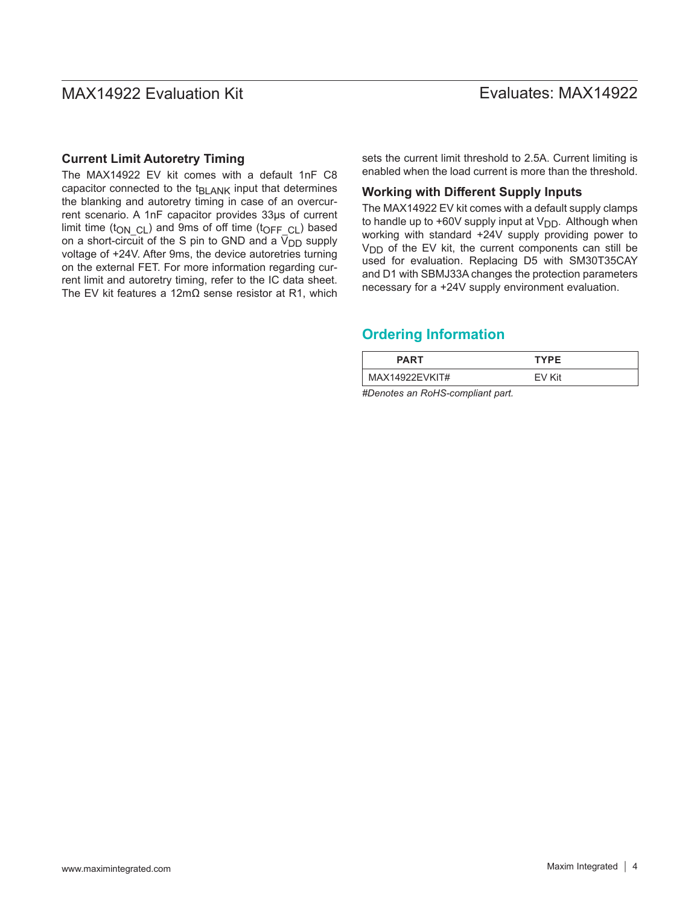#### **Current Limit Autoretry Timing**

The MAX14922 EV kit comes with a default 1nF C8 capacitor connected to the  $t_{BLANK}$  input that determines the blanking and autoretry timing in case of an overcurrent scenario. A 1nF capacitor provides 33μs of current limit time ( $t_{\text{ON}}$  <sub>CL</sub>) and 9ms of off time ( $t_{\text{OFF}}$  <sub>CL</sub>) based on a short-circuit of the S pin to GND and a  $\bar{V}_{DD}$  supply voltage of +24V. After 9ms, the device autoretries turning on the external FET. For more information regarding current limit and autoretry timing, refer to the IC data sheet. The EV kit features a 12mΩ sense resistor at R1, which sets the current limit threshold to 2.5A. Current limiting is enabled when the load current is more than the threshold.

#### **Working with Different Supply Inputs**

The MAX14922 EV kit comes with a default supply clamps to handle up to +60V supply input at  $V_{DD}$ . Although when working with standard +24V supply providing power to  $V<sub>DD</sub>$  of the EV kit, the current components can still be used for evaluation. Replacing D5 with SM30T35CAY and D1 with SBMJ33A changes the protection parameters necessary for a +24V supply environment evaluation.

## <span id="page-3-0"></span>**Ordering Information**

| <b>PART</b>                                                                             | <b>TYPE</b> |  |
|-----------------------------------------------------------------------------------------|-------------|--|
| MAX14922EVKIT#                                                                          | FV Kit      |  |
| $\mathbf{u}$ , $\mathbf{u}$ , $\mathbf{u}$ , $\mathbf{u}$ , $\mathbf{u}$ , $\mathbf{u}$ |             |  |

*#Denotes an RoHS-compliant part.*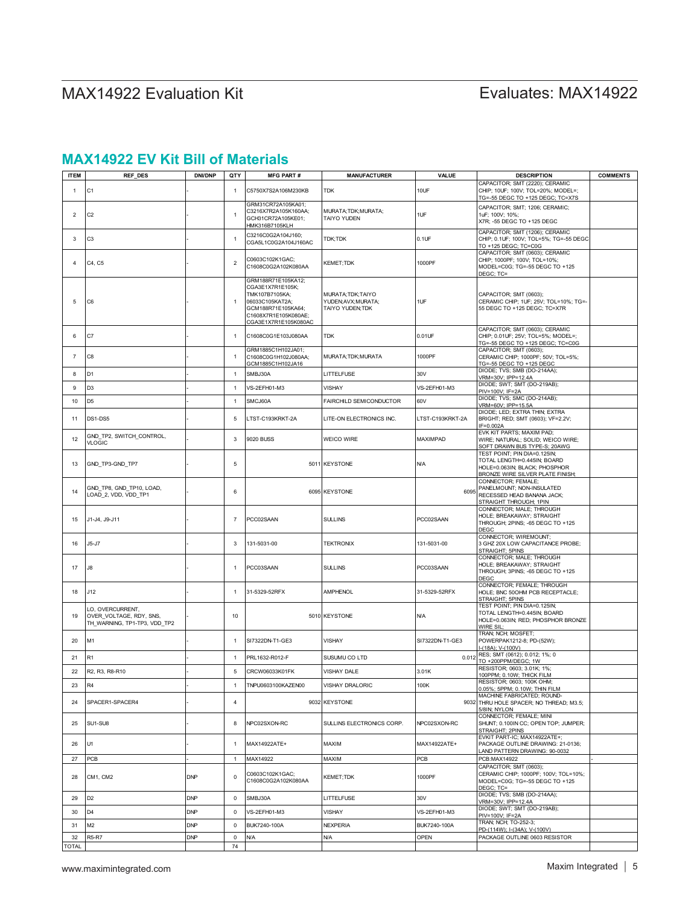# MAX14922 Evaluation Kit
Here and Contact Contact Evaluates: MAX14922

## **MAX14922 EV Kit Bill of Materials**

| <b>ITEM</b>    | <b>REF_DES</b>                                                              | <b>DNI/DNP</b> | QTY            | <b>MFG PART#</b>                                                                                                                                  | <b>MANUFACTURER</b>                                          | VALUE            | <b>DESCRIPTION</b>                                                                                                               | <b>COMMENTS</b> |
|----------------|-----------------------------------------------------------------------------|----------------|----------------|---------------------------------------------------------------------------------------------------------------------------------------------------|--------------------------------------------------------------|------------------|----------------------------------------------------------------------------------------------------------------------------------|-----------------|
| $\mathbf{1}$   | C1                                                                          |                | $\overline{1}$ | C5750X7S2A106M230KB                                                                                                                               | TDK                                                          | 10UF             | CAPACITOR; SMT (2220); CERAMIC<br>CHIP: 10UF: 100V: TOL=20%: MODEL=:<br>TG=-55 DEGC TO +125 DEGC; TC=X7S                         |                 |
| 2              | C <sub>2</sub>                                                              |                | $\overline{1}$ | GRM31CR72A105KA01;<br>C3216X7R2A105K160AA;<br>GCH31CR72A105KE01;<br>HMK316B7105KLH                                                                | MURATA; TDK; MURATA;<br>TAIYO YUDEN                          | 1UF              | CAPACITOR; SMT; 1206; CERAMIC;<br>1uF; 100V; 10%;<br>X7R; -55 DEGC TO +125 DEGC                                                  |                 |
| 3              | C <sub>3</sub>                                                              |                | $\overline{1}$ | C3216C0G2A104J160;<br>CGA5L1C0G2A104J160AC                                                                                                        | TDK;TDK                                                      | $0.1$ UF         | CAPACITOR; SMT (1206); CERAMIC<br>CHIP; 0.1UF; 100V; TOL=5%; TG=-55 DEGC<br>TO +125 DEGC; TC=C0G                                 |                 |
| $\overline{4}$ | C4, C5                                                                      |                | $\overline{2}$ | C0603C102K1GAC;<br>C1608C0G2A102K080AA                                                                                                            | KEMET;TDK                                                    | 1000PF           | CAPACITOR; SMT (0603); CERAMIC<br>CHIP; 1000PF; 100V; TOL=10%;<br>MODEL=C0G; TG=-55 DEGC TO +125<br>DEGC; TC=                    |                 |
| 5              | C6                                                                          |                | $\overline{1}$ | GRM188R71E105KA12;<br>CGA3E1X7R1E105K;<br>TMK107B7105KA;<br>06033C105KAT2A;<br>GCM188R71E105KA64;<br>C1608X7R1E105K080AE;<br>CGA3E1X7R1E105K080AC | MURATA; TDK; TAIYO<br>YUDEN; AVX; MURATA;<br>TAIYO YUDEN;TDK | 1UF              | CAPACITOR; SMT (0603);<br>CERAMIC CHIP; 1UF; 25V; TOL=10%; TG=-<br>55 DEGC TO +125 DEGC; TC=X7R                                  |                 |
| 6              | C7                                                                          |                | $\overline{1}$ | C1608C0G1E103J080AA                                                                                                                               | TDK                                                          | 0.01UF           | CAPACITOR; SMT (0603); CERAMIC<br>CHIP; 0.01UF; 25V; TOL=5%; MODEL=;<br>TG=-55 DEGC TO +125 DEGC; TC=C0G                         |                 |
| 7              | C8                                                                          |                | $\overline{1}$ | GRM1885C1H102JA01;<br>C1608C0G1H102J080AA;<br>GCM1885C1H102JA16                                                                                   | MURATA;TDK;MURATA                                            | 1000PF           | CAPACITOR; SMT (0603);<br>CERAMIC CHIP; 1000PF; 50V; TOL=5%;<br>TG=-55 DEGC TO +125 DEGC                                         |                 |
| 8              | D1                                                                          |                | $\overline{1}$ | SMBJ30A                                                                                                                                           | <b>ITTELFUSE</b>                                             | 30V              | DIODE; TVS; SMB (DO-214AA);<br>VRM=30V; IPP=12.4A                                                                                |                 |
| 9              | D3                                                                          |                | $\overline{1}$ | VS-2EFH01-M3                                                                                                                                      | VISHAY                                                       | VS-2EFH01-M3     | DIODE; SWT; SMT (DO-219AB);                                                                                                      |                 |
| 10             | D5                                                                          |                | $\overline{1}$ | SMCJ60A                                                                                                                                           | FAIRCHILD SEMICONDUCTOR                                      | 60V              | PIV=100V; IF=2A<br>DIODE; TVS; SMC (DO-214AB);                                                                                   |                 |
| 11             | DS1-DS5                                                                     |                | 5              | LTST-C193KRKT-2A                                                                                                                                  | LITE-ON ELECTRONICS INC.                                     | LTST-C193KRKT-2A | VRM=60V; IPP=15.5A<br>DIODE; LED; EXTRA THIN; EXTRA<br>BRIGHT; RED; SMT (0603); VF=2.2V;                                         |                 |
| 12             | GND_TP2, SWITCH_CONTROL,<br><b>VLOGIC</b>                                   |                | 3              | 9020 BUSS                                                                                                                                         | WEICO WIRE                                                   | MAXIMPAD         | IF=0.002A<br>EVK KIT PARTS; MAXIM PAD;<br>WIRE; NATURAL; SOLID; WEICO WIRE;<br>SOFT DRAWN BUS TYPE-S; 20AWG                      |                 |
| 13             | GND_TP3-GND_TP7                                                             |                | 5              |                                                                                                                                                   | 5011 KEYSTONE                                                | <b>N/A</b>       | TEST POINT; PIN DIA=0.125IN;<br>TOTAL LENGTH=0.445IN; BOARD<br>HOLE=0.063IN; BLACK; PHOSPHOR<br>BRONZE WIRE SILVER PLATE FINISH; |                 |
| 14             | GND_TP8, GND_TP10, LOAD,<br>LOAD_2, VDD, VDD_TP1                            |                | 6              |                                                                                                                                                   | 6095 KEYSTONE                                                | 6095             | CONNECTOR; FEMALE;<br>PANELMOUNT; NON-INSULATED<br>RECESSED HEAD BANANA JACK;<br>STRAIGHT THROUGH; 1PIN                          |                 |
| 15             | J1-J4, J9-J11                                                               |                | $\overline{7}$ | PCC02SAAN                                                                                                                                         | <b>SULLINS</b>                                               | PCC02SAAN        | CONNECTOR; MALE; THROUGH<br>HOLE; BREAKAWAY; STRAIGHT<br>THROUGH; 2PINS; -65 DEGC TO +125<br><b>DEGC</b>                         |                 |
| 16             | J5-J7                                                                       |                | 3              | 131-5031-00                                                                                                                                       | TEKTRONIX                                                    | 131-5031-00      | CONNECTOR; WIREMOUNT;<br>3 GHZ 20X LOW CAPACITANCE PROBE;<br>STRAIGHT; 5PINS                                                     |                 |
| 17             | J8                                                                          |                | $\mathbf{1}$   | PCC03SAAN                                                                                                                                         | <b>SULLINS</b>                                               | PCC03SAAN        | CONNECTOR; MALE; THROUGH<br>HOLE; BREAKAWAY; STRAIGHT<br>THROUGH; 3PINS; -65 DEGC TO +125<br>DEGC                                |                 |
| 18             | J12                                                                         |                | $\overline{1}$ | 31-5329-52RFX                                                                                                                                     | <b>AMPHENOL</b>                                              | 31-5329-52RFX    | CONNECTOR; FEMALE; THROUGH<br>HOLE; BNC 50OHM PCB RECEPTACLE;<br>STRAIGHT; 5PINS                                                 |                 |
| 19             | LO, OVERCURRENT,<br>OVER_VOLTAGE, RDY, SNS,<br>TH_WARNING, TP1-TP3, VDD_TP2 |                | 10             |                                                                                                                                                   | 5010 KEYSTONE                                                | <b>N/A</b>       | TEST POINT; PIN DIA=0.125IN;<br>TOTAL LENGTH=0.445IN; BOARD<br>HOLE=0.063IN; RED; PHOSPHOR BRONZE<br>WIRE SIL;                   |                 |
| 20             | M1                                                                          |                | $\overline{1}$ | SI7322DN-T1-GE3                                                                                                                                   | <b>VISHAY</b>                                                | SI7322DN-T1-GE3  | TRAN; NCH; MOSFET;<br>POWERPAK1212-8; PD-(52W);<br>-(18A); V-(100V)                                                              |                 |
| 21             | R1                                                                          |                | $\overline{1}$ | PRL1632-R012-F                                                                                                                                    | SUSUMU CO LTD                                                | 0.012            | RES; SMT (0612); 0.012; 1%; 0<br>TO +200PPM/DEGC; 1W                                                                             |                 |
| 22             | R2, R3, R8-R10                                                              |                | $\,$ 5 $\,$    | CRCW06033K01FK                                                                                                                                    | VISHAY DALE                                                  | 3.01K            | RESISTOR; 0603; 3.01K; 1%;                                                                                                       |                 |
| 23             | R4                                                                          |                | $\mathbf{1}$   | TNPU0603100KAZEN00                                                                                                                                | VISHAY DRALORIC                                              | 100K             | 100PPM; 0.10W; THICK FILM<br>RESISTOR; 0603; 100K OHM;                                                                           |                 |
| 24             | SPACER1-SPACER4                                                             |                | 4              |                                                                                                                                                   | 9032 KEYSTONE                                                | 9032             | 0.05%; 5PPM; 0.10W; THIN FILM<br>MACHINE FABRICATED; ROUND-<br>THRU HOLE SPACER; NO THREAD; M3.5;<br>5/8IN; NYLON                |                 |
| 25             | SU1-SU8                                                                     |                | 8              | NPC02SXON-RC                                                                                                                                      | SULLINS ELECTRONICS CORP.                                    | NPC02SXON-RC     | CONNECTOR; FEMALE; MINI<br>SHUNT; 0.100IN CC; OPEN TOP; JUMPER;<br>STRAIGHT; 2PINS                                               |                 |
| 26             | U1                                                                          |                | $\mathbf{1}$   | MAX14922ATE+                                                                                                                                      | MAXIM                                                        | MAX14922ATE+     | EVKIT PART-IC; MAX14922ATE+;<br>PACKAGE OUTLINE DRAWING: 21-0136;<br>LAND PATTERN DRAWING: 90-0032                               |                 |
| 27             | PCB                                                                         |                | $\mathbf{1}$   | MAX14922                                                                                                                                          | MAXIM                                                        | PCB              | PCB:MAX14922                                                                                                                     |                 |
| 28             | CM1, CM2                                                                    | <b>DNP</b>     | $\mathsf 0$    | C0603C102K1GAC;<br>C1608C0G2A102K080AA                                                                                                            | <b>KEMET:TDK</b>                                             | 1000PF           | CAPACITOR; SMT (0603);<br>CERAMIC CHIP; 1000PF; 100V; TOL=10%;<br>MODEL=C0G: TG=-55 DEGC TO +125<br>DEGC; TC=                    |                 |
| 29             | D <sub>2</sub>                                                              | <b>DNP</b>     | $\mathsf 0$    | SMBJ30A                                                                                                                                           | LITTELFUSE                                                   | 30V              | DIODE; TVS; SMB (DO-214AA);<br>VRM=30V; IPP=12.4A                                                                                |                 |
| 30             | D <sub>4</sub>                                                              | <b>DNP</b>     | $\mathsf 0$    | VS-2EFH01-M3                                                                                                                                      | <b>VISHAY</b>                                                | VS-2EFH01-M3     | DIODE; SWT; SMT (DO-219AB);<br>PIV=100V; IF=2A                                                                                   |                 |
| 31             | M2                                                                          | <b>DNP</b>     | $\mathsf 0$    | BUK7240-100A                                                                                                                                      | <b>NEXPERIA</b>                                              | BUK7240-100A     | TRAN; NCH; TO-252-3;<br>PD-(114W); I-(34A); V-(100V)                                                                             |                 |
| 32             | <b>R5-R7</b>                                                                | <b>DNP</b>     | $\mathsf 0$    | <b>N/A</b>                                                                                                                                        | <b>N/A</b>                                                   | OPEN             | PACKAGE OUTLINE 0603 RESISTOR                                                                                                    |                 |
| <b>TOTAL</b>   |                                                                             |                | 74             |                                                                                                                                                   |                                                              |                  |                                                                                                                                  |                 |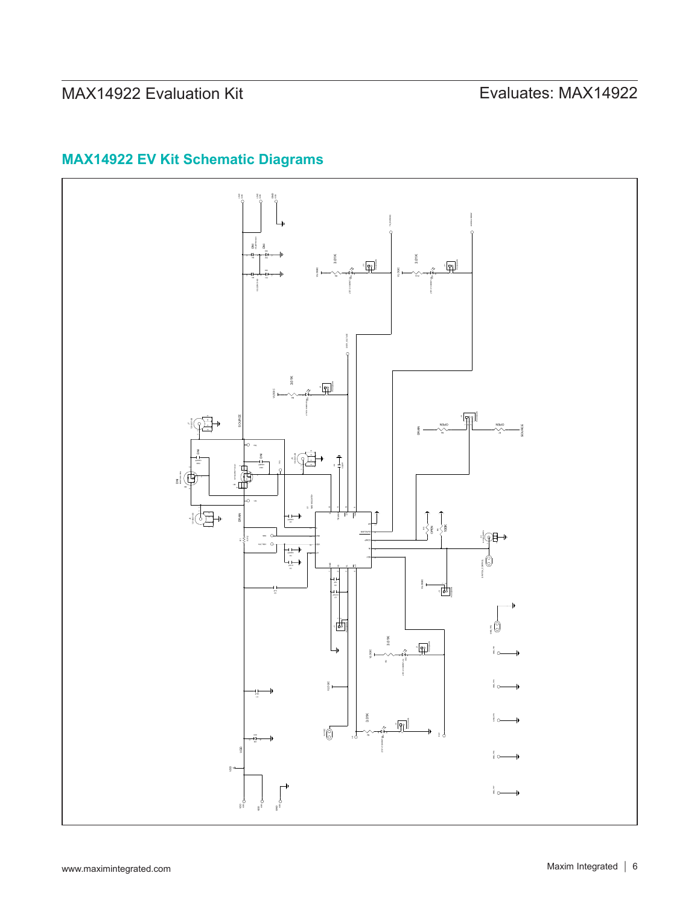# MAX14922 Evaluation Kit
Herrich Communication Communication Evaluates: MAX14922

# **MAX14922 EV Kit Schematic Diagrams**

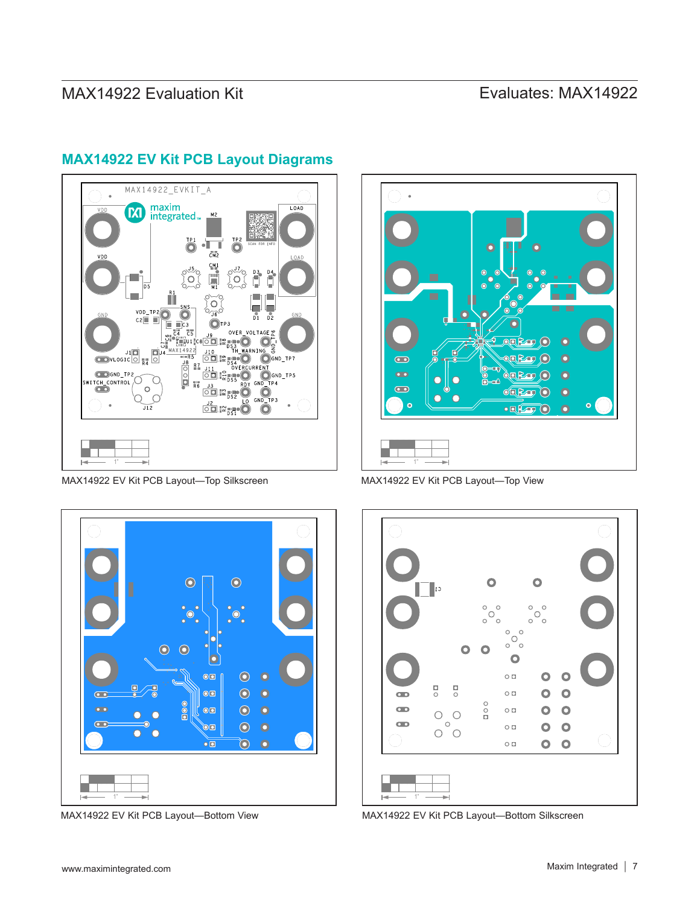# MAX14922 Evaluation Kit
Here and Evaluates: MAX14922



## **MAX14922 EV Kit PCB Layout Diagrams**

MAX14922 EV Kit PCB Layout—Top Silkscreen



MAX14922 EV Kit PCB Layout—Top View



MAX14922 EV Kit PCB Layout—Bottom Silkscreen



MAX14922 EV Kit PCB Layout—Bottom View